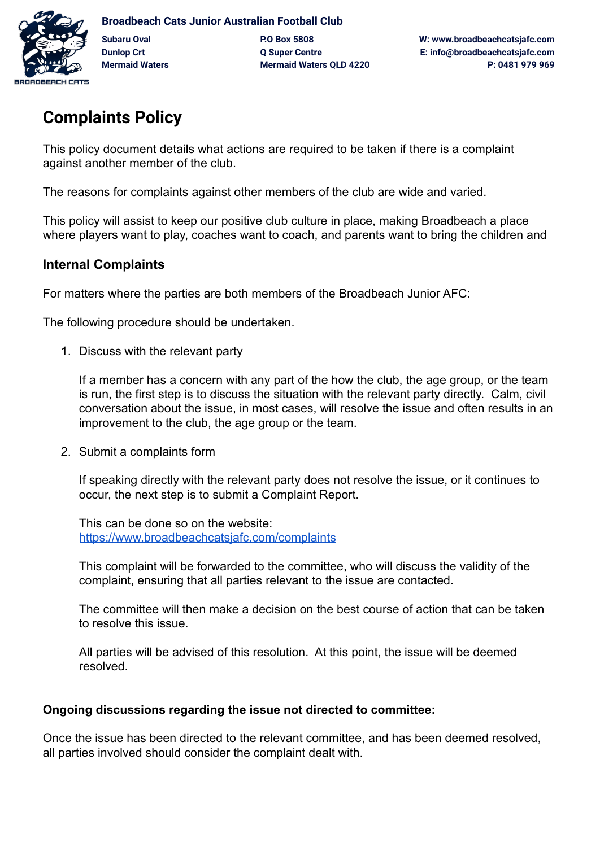

# **Complaints Policy**

This policy document details what actions are required to be taken if there is a complaint against another member of the club.

The reasons for complaints against other members of the club are wide and varied.

This policy will assist to keep our positive club culture in place, making Broadbeach a place where players want to play, coaches want to coach, and parents want to bring the children and

## **Internal Complaints**

For matters where the parties are both members of the Broadbeach Junior AFC:

The following procedure should be undertaken.

1. Discuss with the relevant party

If a member has a concern with any part of the how the club, the age group, or the team is run, the first step is to discuss the situation with the relevant party directly. Calm, civil conversation about the issue, in most cases, will resolve the issue and often results in an improvement to the club, the age group or the team.

2. Submit a complaints form

If speaking directly with the relevant party does not resolve the issue, or it continues to occur, the next step is to submit a Complaint Report.

This can be done so on the website: <https://www.broadbeachcatsjafc.com/complaints>

This complaint will be forwarded to the committee, who will discuss the validity of the complaint, ensuring that all parties relevant to the issue are contacted.

The committee will then make a decision on the best course of action that can be taken to resolve this issue.

All parties will be advised of this resolution. At this point, the issue will be deemed resolved.

#### **Ongoing discussions regarding the issue not directed to committee:**

Once the issue has been directed to the relevant committee, and has been deemed resolved, all parties involved should consider the complaint dealt with.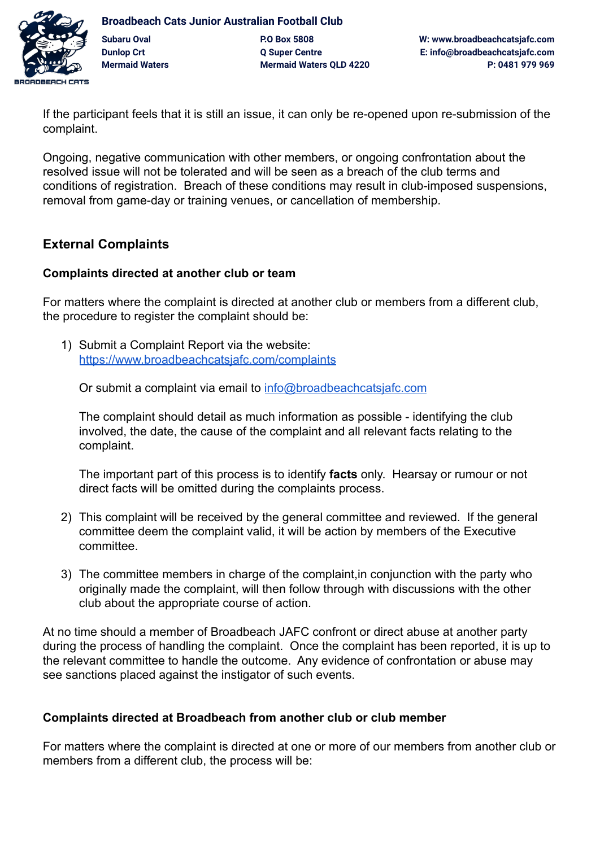

**Broadbeach Cats Junior Australian Football Club Subaru Oval P.O Box 5808 W: www.broadbeachcatsjafc.com Dunlop Crt Q Super Centre E: info@broadbeachcatsjafc.com Mermaid Waters Mermaid Waters QLD 4220 P: 0481 979 969**

If the participant feels that it is still an issue, it can only be re-opened upon re-submission of the complaint.

Ongoing, negative communication with other members, or ongoing confrontation about the resolved issue will not be tolerated and will be seen as a breach of the club terms and conditions of registration. Breach of these conditions may result in club-imposed suspensions, removal from game-day or training venues, or cancellation of membership.

### **External Complaints**

#### **Complaints directed at another club or team**

For matters where the complaint is directed at another club or members from a different club, the procedure to register the complaint should be:

1) Submit a Complaint Report via the website: <https://www.broadbeachcatsjafc.com/complaints>

Or submit a complaint via email to [info@broadbeachcatsjafc.com](mailto:info@broadbeachcatsjafc.com)

The complaint should detail as much information as possible - identifying the club involved, the date, the cause of the complaint and all relevant facts relating to the complaint.

The important part of this process is to identify **facts** only. Hearsay or rumour or not direct facts will be omitted during the complaints process.

- 2) This complaint will be received by the general committee and reviewed. If the general committee deem the complaint valid, it will be action by members of the Executive committee.
- 3) The committee members in charge of the complaint,in conjunction with the party who originally made the complaint, will then follow through with discussions with the other club about the appropriate course of action.

At no time should a member of Broadbeach JAFC confront or direct abuse at another party during the process of handling the complaint. Once the complaint has been reported, it is up to the relevant committee to handle the outcome. Any evidence of confrontation or abuse may see sanctions placed against the instigator of such events.

#### **Complaints directed at Broadbeach from another club or club member**

For matters where the complaint is directed at one or more of our members from another club or members from a different club, the process will be: